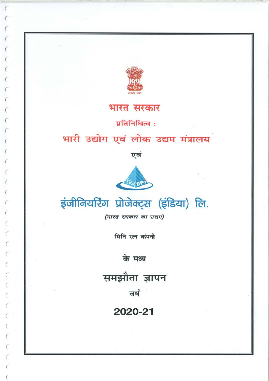

 $\epsilon$ 

JUVUUUUUUU

# भारत सरकार

प्रतिनिधित्व:

# भारी उद्योग एवं लोक उद्यम मंत्रालय

एवं





(भारत सरकार का उद्यम)

मिनि रत्न कंपनी

के मध्य

समझौता ज्ञापन

वर्ष

2020-21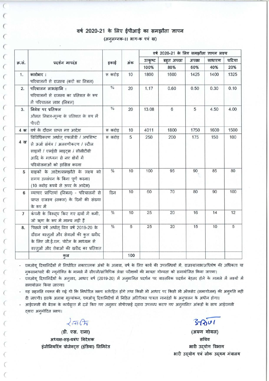#### वर्ष 2020-21 के लिए ईपीआई का समझौता ज्ञापन (अनुलग्नक-।। भाग-क एवं ख)

| क्र.सं.          | प्रदर्शन मापदंड                                                                                                                                                                | इकाई                      |     |                  | वर्ष 2020-21 के लिए समझौता ज्ञापन लक्ष्य |              |               |                |
|------------------|--------------------------------------------------------------------------------------------------------------------------------------------------------------------------------|---------------------------|-----|------------------|------------------------------------------|--------------|---------------|----------------|
|                  |                                                                                                                                                                                |                           | अंक | उत्कृष्ट<br>100% | बहुत अच्छा<br>80%                        | अच्छा<br>60% | साधारण<br>40% | घटिया<br>20%   |
|                  |                                                                                                                                                                                |                           |     |                  |                                          |              |               |                |
| 2.               | परिचालन लाभ/हानि:<br>परिचालनों से राजस्व का प्रतिशत के रूप<br>में परिचालन लाभ (निबल)                                                                                           | $\sqrt[0]{\phantom{0}}_0$ | 20  | 1.17             | 0.60                                     | 0.50         | 0.30          | 0.10           |
| 3.               | निवेश पर प्रतिफल<br>औसत निबल-मूल्य के प्रतिशत के रूप में<br>पीएटी                                                                                                              | $\frac{0}{0}$             | 20  | 13.08            | 6                                        | 5            | 4.50          | 4.00           |
| $4 \overline{4}$ | वर्ष के दौरान प्राप्त नए आदेश                                                                                                                                                  | रू करोड़                  | 10  | 4011             | 1800                                     | 1750         | 1600          | 1500           |
| 4 ख              | विविधिकरण अर्थात् एफजीडी / अपशिष्ट<br>से ऊर्जा संयंत्र / अलवणीकरण / स्टील<br>साइलों / एलईडी लाइट्स / सीसीटीवी<br>आदि के माध्यम से नए क्षेत्रों में<br>परियोजनाओं को हासिल करना | रू करोड़                  | 5   | 250              | 200                                      | 175          | 150           | 100            |
| 5                | ग्राहकों के आदेश/समझौते के लक्ष्य को<br>समय उल्लंघन के बिना पूर्ण करना।<br>(10 करोड़ रूपये से ऊपर के आदेश)                                                                     | $\frac{0}{6}$             | 10  | 100              | 95                                       | 90           | 85            | 80             |
| 6                | व्यापार प्राप्तियां (निबल) - परिचालनों से<br>प्राप्त राजस्व (सकल) के दिनों की संख्या<br>के रूप में                                                                             | दिन                       | 10  | 60               | 70                                       | 80           | 90            | 100            |
| $\overline{7}$   | कंपनी के विरुद्ध किए गए दावों में कमी,<br>जो ॠण के रूप में मान्य नहीं हैं                                                                                                      | $\frac{0}{6}$             | 10  | 25               | 20                                       | 16           | 14            | 12             |
| 8.               | पिछले वर्ष अर्थात् वित्त वर्ष 2019-20 के<br>दौरान वस्तुओं और सेवाओं की कुल खरीद<br>के लिए जी.ई.एम. पोर्टल के माध्यम से<br>वस्तुओं और सेवाओं की खरीद का प्रतिशत                 | $\frac{6}{6}$             | 5   | 25               | 20                                       | 15           | 10            | $\overline{5}$ |
|                  | कल                                                                                                                                                                             |                           | 100 |                  |                                          |              |               |                |

एमओय दिशानिर्देशों में निर्धारित नकारात्मक अंकों के अलावा, वर्ष के लिए कार्य की उपलब्धियों में, राजस्व/लाभ/अधिशेष की अधिकता या नक़सान/घाटे की न्यूनोक्ति के मामले में सीएजी/सांविधिक लेखा परीक्षकों की मात्रता योग्यता को समायोजित किया जाएगा।

एमओयू दिशानिर्देशों के अनुसार, आधार वर्ष (2019-20) में अनुमानित प्रदर्शन पर वास्तविक प्रदर्शन बेहतर होने के मामले में लक्ष्यों में समायोजन किया जाएगा।

यह सहमति व्यक्त की गई थी कि निर्धारित लक्ष्य शर्तरहित होंगे तथा किसी भी आधार पर किसी भी ऑफसेट (समायोजन) की अन्मति नहीं दी जाएगी। इसके अलावा मूल्यांकन, एमओयू दिशानिर्देशों में निहित अतिरिक्त पात्रता मानदंडों के अनुपालन के अधीन होगा।

आईएमसी की बैठक के कार्यवृत्त में दर्ज किए गए अनुसार सीपीएसई दवारा उपलब्ध कराए गए अनुमानित आंकड़ों के साथ आईएमसी दवारा अनुमोदित लक्ष्य।

 $2\pi G$ 

(डी. एस. राना) अध्यक्ष-सह-प्रबंध निदेशक इंजीनियरिंग प्रोजेक्ट्स (इंडिया) लिमिटेड

 $37001$ (अरुण गोयल)

सचिव भारी उदयोग विभाग भारी उद्योग एवं लोक उद्यम मंत्रालय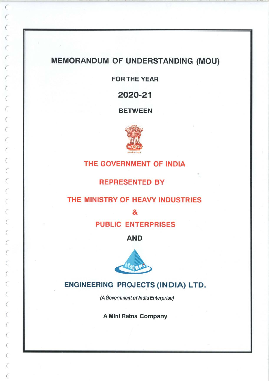# MEMORANDUM OF UNDERSTANDING (MOU)

 $\epsilon$ 

 $\overline{C}$ 

 $\sqrt{2}$ 

 $\epsilon$ 

 $\overline{C}$ 

FOR THE YEAR

2020-21

BETWEEN



### THE GOVERNMENT OF INDIA

REPRESENTED BY

#### THE MINISTRY OF HEAVY INDUSTRIES

&

PUBLIC ENTERPRISES

AND



#### ENGINEERING PROJECTS (INDIA) LTD.

(A Government of India Enterprise)

A Mini Ratna Company